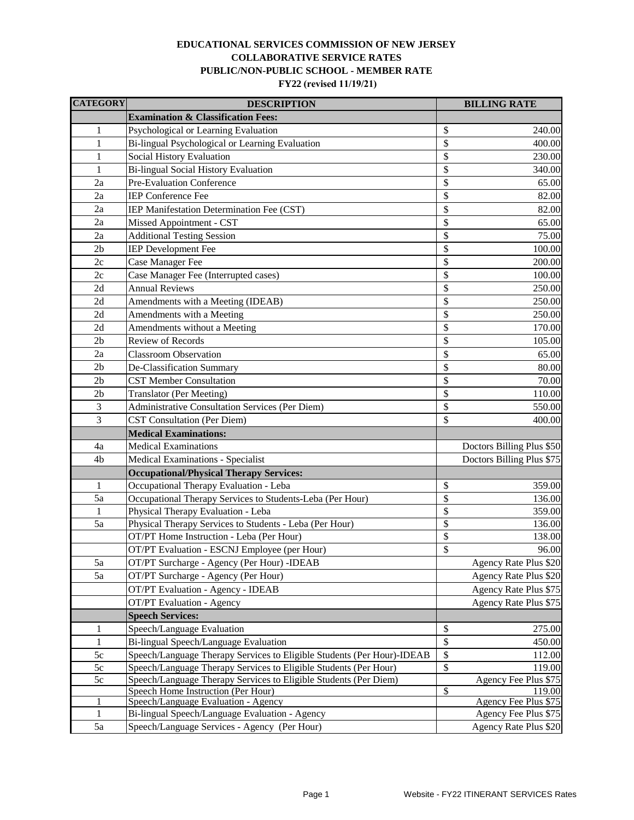## **COLLABORATIVE SERVICE RATES PUBLIC/NON-PUBLIC SCHOOL - MEMBER RATE FY22 (revised 11/19/21) EDUCATIONAL SERVICES COMMISSION OF NEW JERSEY**

| <b>CATEGORY</b> | <b>DESCRIPTION</b>                                                     |                          | <b>BILLING RATE</b>       |
|-----------------|------------------------------------------------------------------------|--------------------------|---------------------------|
|                 | <b>Examination &amp; Classification Fees:</b>                          |                          |                           |
| 1               | Psychological or Learning Evaluation                                   | \$                       | 240.00                    |
| 1               | Bi-lingual Psychological or Learning Evaluation                        | \$                       | 400.00                    |
| 1               | Social History Evaluation                                              | \$                       | 230.00                    |
| $\mathbf{1}$    | Bi-lingual Social History Evaluation                                   | \$                       | 340.00                    |
| 2a              | Pre-Evaluation Conference                                              | \$                       | 65.00                     |
| 2a              | <b>IEP Conference Fee</b>                                              | \$                       | 82.00                     |
| 2a              | IEP Manifestation Determination Fee (CST)                              | \$                       | 82.00                     |
| 2a              | Missed Appointment - CST                                               | \$                       | 65.00                     |
| 2a              | <b>Additional Testing Session</b>                                      | \$                       | 75.00                     |
| 2 <sub>b</sub>  | <b>IEP</b> Development Fee                                             | \$                       | 100.00                    |
| 2c              | Case Manager Fee                                                       | \$                       | 200.00                    |
| 2c              | Case Manager Fee (Interrupted cases)                                   | \$                       | 100.00                    |
| 2d              | <b>Annual Reviews</b>                                                  | \$                       | 250.00                    |
| 2d              | Amendments with a Meeting (IDEAB)                                      | \$                       | 250.00                    |
| 2d              | Amendments with a Meeting                                              | \$                       | 250.00                    |
| 2d              | Amendments without a Meeting                                           | \$                       | 170.00                    |
| 2 <sub>b</sub>  | Review of Records                                                      | \$                       | 105.00                    |
| 2a              | <b>Classroom Observation</b>                                           | \$                       | 65.00                     |
| 2 <sub>b</sub>  | De-Classification Summary                                              | \$                       | 80.00                     |
| 2 <sub>b</sub>  | <b>CST Member Consultation</b>                                         | \$                       | 70.00                     |
| 2 <sub>b</sub>  | <b>Translator (Per Meeting)</b>                                        | \$                       | 110.00                    |
| 3               | Administrative Consultation Services (Per Diem)                        | \$                       | 550.00                    |
| 3               | <b>CST Consultation (Per Diem)</b>                                     | \$                       | 400.00                    |
|                 | <b>Medical Examinations:</b>                                           |                          |                           |
| 4a              | <b>Medical Examinations</b>                                            |                          | Doctors Billing Plus \$50 |
| 4b              | Medical Examinations - Specialist                                      |                          | Doctors Billing Plus \$75 |
|                 | <b>Occupational/Physical Therapy Services:</b>                         |                          |                           |
| $\mathbf{1}$    | Occupational Therapy Evaluation - Leba                                 | \$                       | 359.00                    |
| 5a              | Occupational Therapy Services to Students-Leba (Per Hour)              | \$                       | 136.00                    |
| 1               | Physical Therapy Evaluation - Leba                                     | \$                       | 359.00                    |
| 5a              | Physical Therapy Services to Students - Leba (Per Hour)                | \$                       | 136.00                    |
|                 | OT/PT Home Instruction - Leba (Per Hour)                               | \$                       | 138.00                    |
|                 | OT/PT Evaluation - ESCNJ Employee (per Hour)                           | \$                       | 96.00                     |
| 5a              | OT/PT Surcharge - Agency (Per Hour) -IDEAB                             |                          | Agency Rate Plus \$20     |
| 5a              | OT/PT Surcharge - Agency (Per Hour)                                    |                          | Agency Rate Plus \$20     |
|                 | <b>OT/PT Evaluation - Agency - IDEAB</b>                               |                          | Agency Rate Plus \$75     |
|                 | <b>OT/PT</b> Evaluation - Agency                                       |                          | Agency Rate Plus \$75     |
|                 | <b>Speech Services:</b>                                                |                          |                           |
| $\mathbf{1}$    | Speech/Language Evaluation                                             | \$                       | 275.00                    |
| $\mathbf{1}$    | Bi-lingual Speech/Language Evaluation                                  | \$                       | 450.00                    |
| 5c              | Speech/Language Therapy Services to Eligible Students (Per Hour)-IDEAB | \$                       | 112.00                    |
| 5c              | Speech/Language Therapy Services to Eligible Students (Per Hour)       | \$                       | 119.00                    |
| $5c$            | Speech/Language Therapy Services to Eligible Students (Per Diem)       |                          | Agency Fee Plus \$75      |
|                 | Speech Home Instruction (Per Hour)                                     | $\overline{\mathcal{S}}$ | 119.00                    |
| 1               | Speech/Language Evaluation - Agency                                    |                          | Agency Fee Plus \$75      |
| $\mathbf{1}$    | Bi-lingual Speech/Language Evaluation - Agency                         |                          | Agency Fee Plus \$75      |
| 5a              | Speech/Language Services - Agency (Per Hour)                           |                          | Agency Rate Plus \$20     |